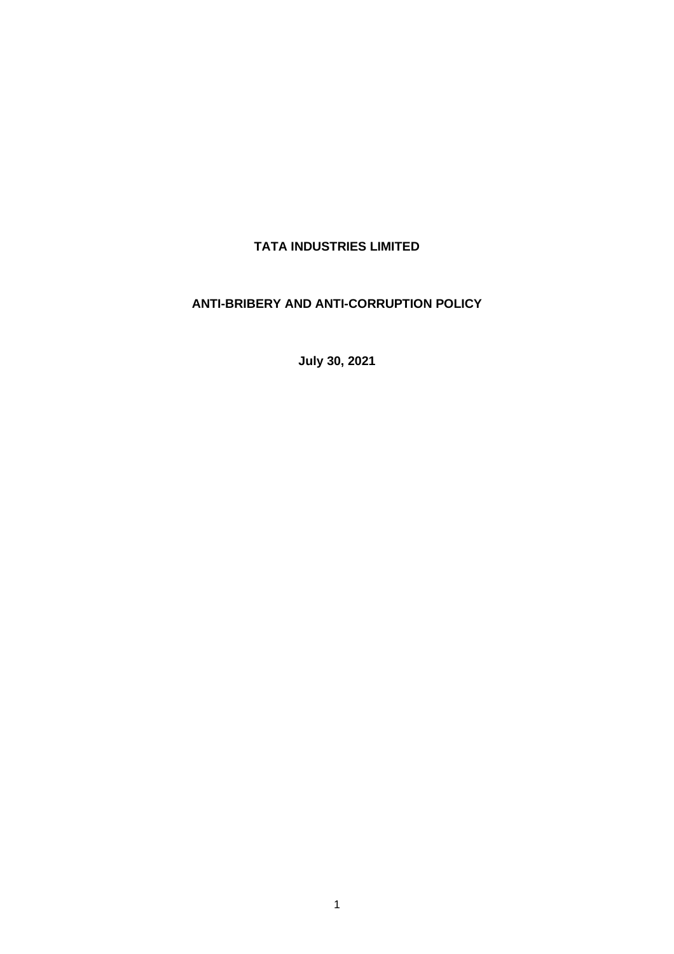# **TATA INDUSTRIES LIMITED**

# **ANTI-BRIBERY AND ANTI-CORRUPTION POLICY**

**July 30, 2021**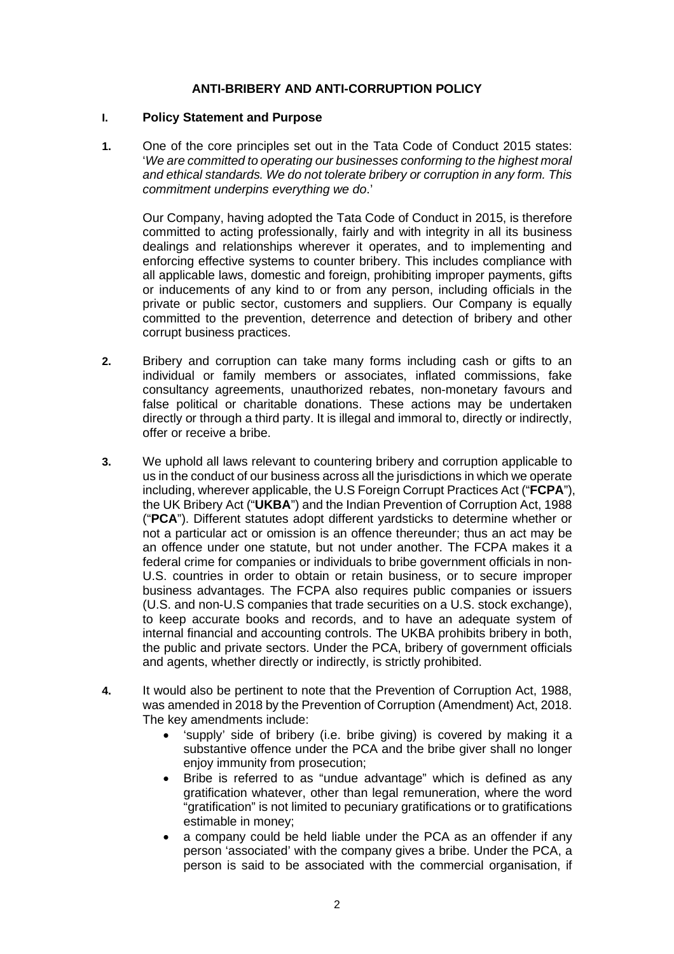#### **ANTI-BRIBERY AND ANTI-CORRUPTION POLICY**

#### **I. Policy Statement and Purpose**

**1.** One of the core principles set out in the Tata Code of Conduct 2015 states: '*We are committed to operating our businesses conforming to the highest moral and ethical standards. We do not tolerate bribery or corruption in any form. This commitment underpins everything we do*.'

Our Company, having adopted the Tata Code of Conduct in 2015, is therefore committed to acting professionally, fairly and with integrity in all its business dealings and relationships wherever it operates, and to implementing and enforcing effective systems to counter bribery. This includes compliance with all applicable laws, domestic and foreign, prohibiting improper payments, gifts or inducements of any kind to or from any person, including officials in the private or public sector, customers and suppliers. Our Company is equally committed to the prevention, deterrence and detection of bribery and other corrupt business practices.

- **2.** Bribery and corruption can take many forms including cash or gifts to an individual or family members or associates, inflated commissions, fake consultancy agreements, unauthorized rebates, non-monetary favours and false political or charitable donations. These actions may be undertaken directly or through a third party. It is illegal and immoral to, directly or indirectly, offer or receive a bribe.
- **3.** We uphold all laws relevant to countering bribery and corruption applicable to us in the conduct of our business across all the jurisdictions in which we operate including, wherever applicable, the U.S Foreign Corrupt Practices Act ("**FCPA**"), the UK Bribery Act ("**UKBA**") and the Indian Prevention of Corruption Act, 1988 ("**PCA**"). Different statutes adopt different yardsticks to determine whether or not a particular act or omission is an offence thereunder; thus an act may be an offence under one statute, but not under another. The FCPA makes it a federal crime for companies or individuals to bribe government officials in non-U.S. countries in order to obtain or retain business, or to secure improper business advantages. The FCPA also requires public companies or issuers (U.S. and non-U.S companies that trade securities on a U.S. stock exchange), to keep accurate books and records, and to have an adequate system of internal financial and accounting controls. The UKBA prohibits bribery in both, the public and private sectors. Under the PCA, bribery of government officials and agents, whether directly or indirectly, is strictly prohibited.
- **4.** It would also be pertinent to note that the Prevention of Corruption Act, 1988, was amended in 2018 by the Prevention of Corruption (Amendment) Act, 2018. The key amendments include:
	- 'supply' side of bribery (i.e. bribe giving) is covered by making it a substantive offence under the PCA and the bribe giver shall no longer enjoy immunity from prosecution;
	- Bribe is referred to as "undue advantage" which is defined as any gratification whatever, other than legal remuneration, where the word "gratification" is not limited to pecuniary gratifications or to gratifications estimable in money;
	- a company could be held liable under the PCA as an offender if any person 'associated' with the company gives a bribe. Under the PCA, a person is said to be associated with the commercial organisation, if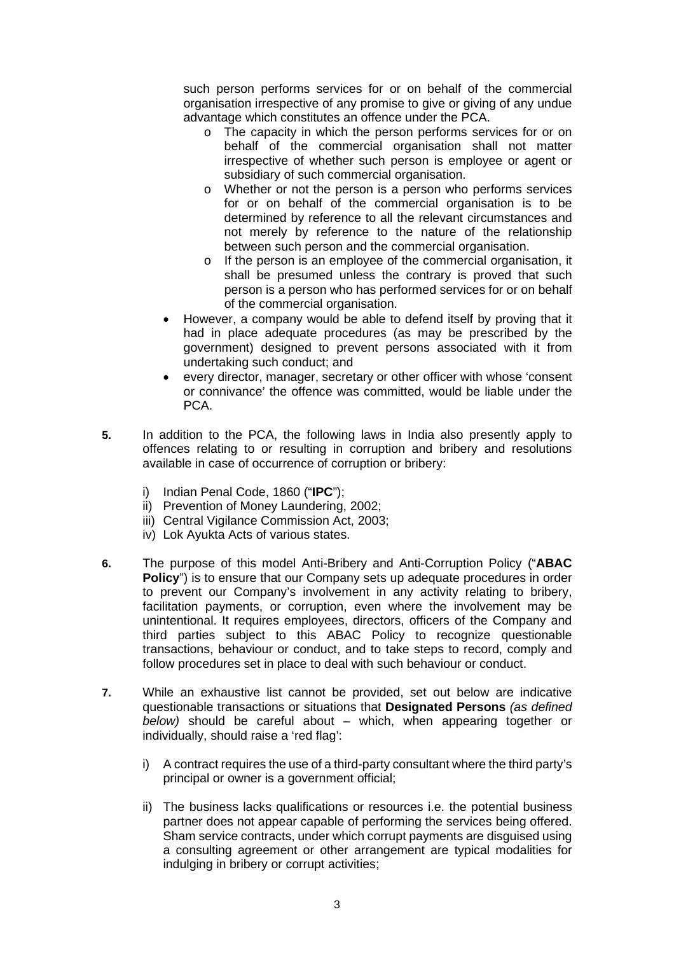such person performs services for or on behalf of the commercial organisation irrespective of any promise to give or giving of any undue advantage which constitutes an offence under the PCA.

- o The capacity in which the person performs services for or on behalf of the commercial organisation shall not matter irrespective of whether such person is employee or agent or subsidiary of such commercial organisation.
- o Whether or not the person is a person who performs services for or on behalf of the commercial organisation is to be determined by reference to all the relevant circumstances and not merely by reference to the nature of the relationship between such person and the commercial organisation.
- o If the person is an employee of the commercial organisation, it shall be presumed unless the contrary is proved that such person is a person who has performed services for or on behalf of the commercial organisation.
- However, a company would be able to defend itself by proving that it had in place adequate procedures (as may be prescribed by the government) designed to prevent persons associated with it from undertaking such conduct; and
- every director, manager, secretary or other officer with whose 'consent or connivance' the offence was committed, would be liable under the PCA.
- **5.** In addition to the PCA, the following laws in India also presently apply to offences relating to or resulting in corruption and bribery and resolutions available in case of occurrence of corruption or bribery:
	- i) Indian Penal Code, 1860 ("**IPC**");
	- ii) Prevention of Money Laundering, 2002;
	- iii) Central Vigilance Commission Act, 2003;
	- iv) Lok Ayukta Acts of various states.
- **6.** The purpose of this model Anti-Bribery and Anti-Corruption Policy ("**ABAC Policy**") is to ensure that our Company sets up adequate procedures in order to prevent our Company's involvement in any activity relating to bribery, facilitation payments, or corruption, even where the involvement may be unintentional. It requires employees, directors, officers of the Company and third parties subject to this ABAC Policy to recognize questionable transactions, behaviour or conduct, and to take steps to record, comply and follow procedures set in place to deal with such behaviour or conduct.
- **7.** While an exhaustive list cannot be provided, set out below are indicative questionable transactions or situations that **Designated Persons** *(as defined below)* should be careful about – which, when appearing together or individually, should raise a 'red flag':
	- i) A contract requires the use of a third-party consultant where the third party's principal or owner is a government official;
	- ii) The business lacks qualifications or resources i.e. the potential business partner does not appear capable of performing the services being offered. Sham service contracts, under which corrupt payments are disguised using a consulting agreement or other arrangement are typical modalities for indulging in bribery or corrupt activities;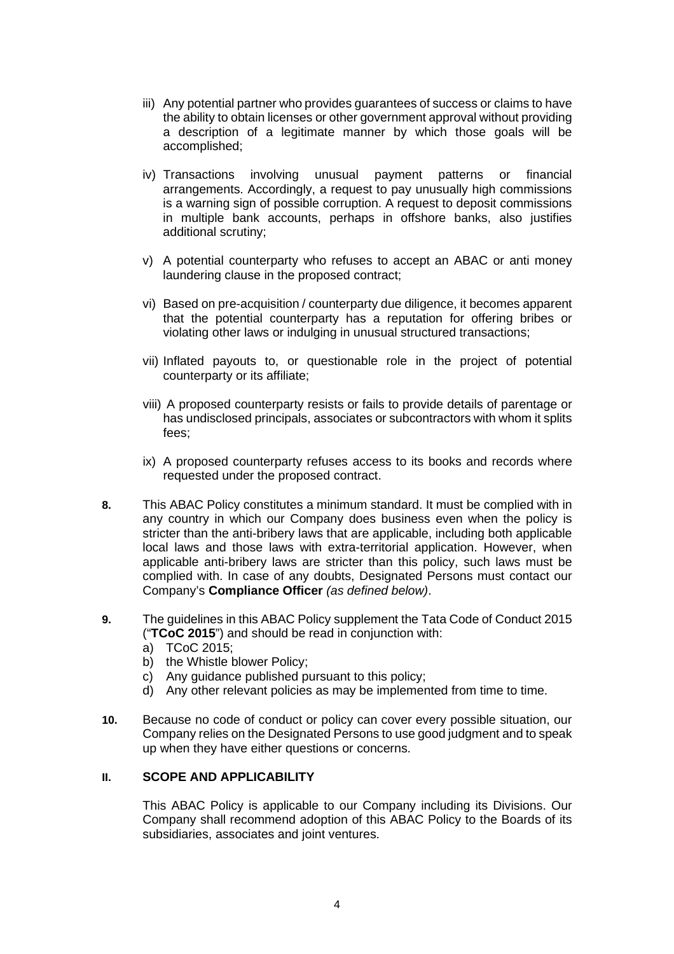- iii) Any potential partner who provides guarantees of success or claims to have the ability to obtain licenses or other government approval without providing a description of a legitimate manner by which those goals will be accomplished;
- iv) Transactions involving unusual payment patterns or financial arrangements. Accordingly, a request to pay unusually high commissions is a warning sign of possible corruption. A request to deposit commissions in multiple bank accounts, perhaps in offshore banks, also justifies additional scrutiny;
- v) A potential counterparty who refuses to accept an ABAC or anti money laundering clause in the proposed contract;
- vi) Based on pre-acquisition / counterparty due diligence, it becomes apparent that the potential counterparty has a reputation for offering bribes or violating other laws or indulging in unusual structured transactions;
- vii) Inflated payouts to, or questionable role in the project of potential counterparty or its affiliate;
- viii) A proposed counterparty resists or fails to provide details of parentage or has undisclosed principals, associates or subcontractors with whom it splits fees;
- ix) A proposed counterparty refuses access to its books and records where requested under the proposed contract.
- **8.** This ABAC Policy constitutes a minimum standard. It must be complied with in any country in which our Company does business even when the policy is stricter than the anti-bribery laws that are applicable, including both applicable local laws and those laws with extra-territorial application. However, when applicable anti-bribery laws are stricter than this policy, such laws must be complied with. In case of any doubts, Designated Persons must contact our Company's **Compliance Officer** *(as defined below)*.
- **9.** The guidelines in this ABAC Policy supplement the Tata Code of Conduct 2015 ("**TCoC 2015**") and should be read in conjunction with:
	- a) TCoC 2015;
	- b) the Whistle blower Policy;
	- c) Any guidance published pursuant to this policy;
	- d) Any other relevant policies as may be implemented from time to time.
- **10.** Because no code of conduct or policy can cover every possible situation, our Company relies on the Designated Persons to use good judgment and to speak up when they have either questions or concerns.

## **II. SCOPE AND APPLICABILITY**

This ABAC Policy is applicable to our Company including its Divisions. Our Company shall recommend adoption of this ABAC Policy to the Boards of its subsidiaries, associates and joint ventures.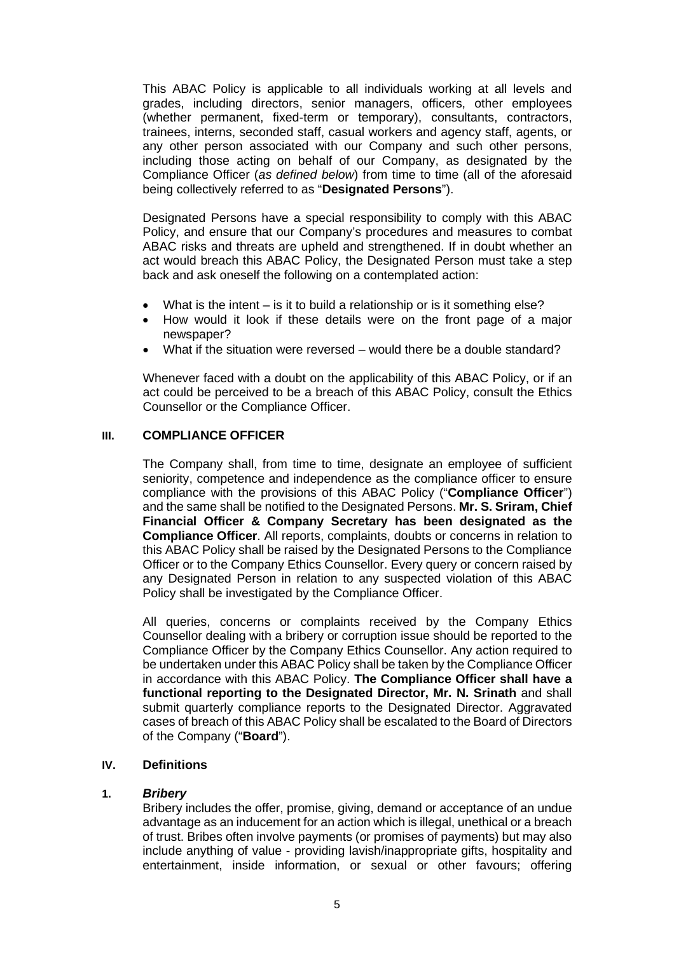This ABAC Policy is applicable to all individuals working at all levels and grades, including directors, senior managers, officers, other employees (whether permanent, fixed-term or temporary), consultants, contractors, trainees, interns, seconded staff, casual workers and agency staff, agents, or any other person associated with our Company and such other persons, including those acting on behalf of our Company, as designated by the Compliance Officer (*as defined below*) from time to time (all of the aforesaid being collectively referred to as "**Designated Persons**").

Designated Persons have a special responsibility to comply with this ABAC Policy, and ensure that our Company's procedures and measures to combat ABAC risks and threats are upheld and strengthened. If in doubt whether an act would breach this ABAC Policy, the Designated Person must take a step back and ask oneself the following on a contemplated action:

- What is the intent  $-$  is it to build a relationship or is it something else?
- How would it look if these details were on the front page of a major newspaper?
- What if the situation were reversed would there be a double standard?

Whenever faced with a doubt on the applicability of this ABAC Policy, or if an act could be perceived to be a breach of this ABAC Policy, consult the Ethics Counsellor or the Compliance Officer.

#### **III. COMPLIANCE OFFICER**

The Company shall, from time to time, designate an employee of sufficient seniority, competence and independence as the compliance officer to ensure compliance with the provisions of this ABAC Policy ("**Compliance Officer**") and the same shall be notified to the Designated Persons. **Mr. S. Sriram, Chief Financial Officer & Company Secretary has been designated as the Compliance Officer**. All reports, complaints, doubts or concerns in relation to this ABAC Policy shall be raised by the Designated Persons to the Compliance Officer or to the Company Ethics Counsellor. Every query or concern raised by any Designated Person in relation to any suspected violation of this ABAC Policy shall be investigated by the Compliance Officer.

All queries, concerns or complaints received by the Company Ethics Counsellor dealing with a bribery or corruption issue should be reported to the Compliance Officer by the Company Ethics Counsellor. Any action required to be undertaken under this ABAC Policy shall be taken by the Compliance Officer in accordance with this ABAC Policy. **The Compliance Officer shall have a functional reporting to the Designated Director, Mr. N. Srinath** and shall submit quarterly compliance reports to the Designated Director. Aggravated cases of breach of this ABAC Policy shall be escalated to the Board of Directors of the Company ("**Board**").

## **IV. Definitions**

#### **1.** *Bribery*

Bribery includes the offer, promise, giving, demand or acceptance of an undue advantage as an inducement for an action which is illegal, unethical or a breach of trust. Bribes often involve payments (or promises of payments) but may also include anything of value - providing lavish/inappropriate gifts, hospitality and entertainment, inside information, or sexual or other favours; offering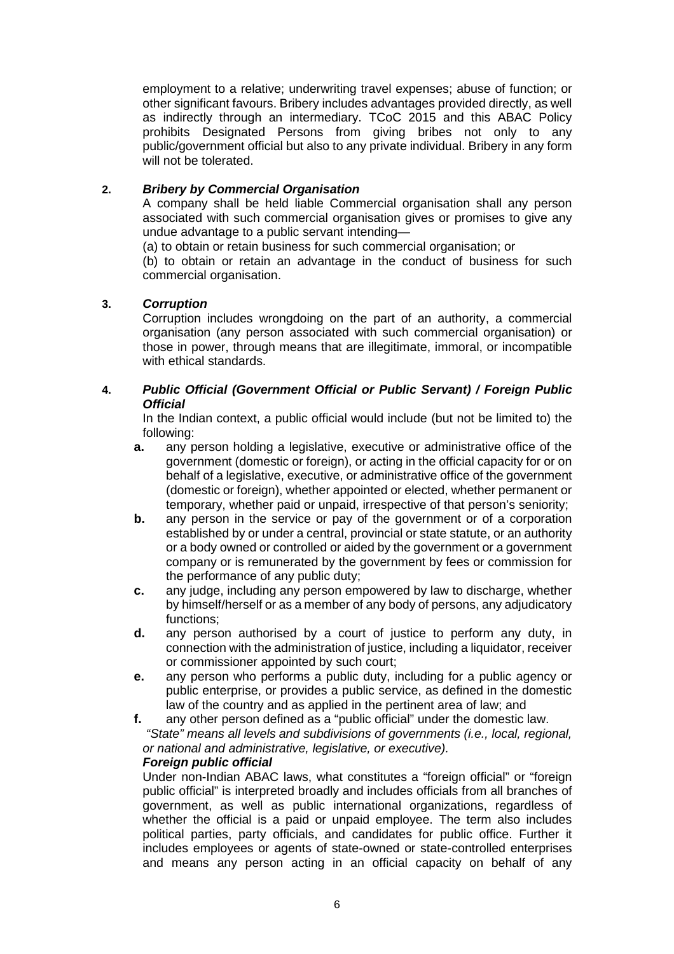employment to a relative; underwriting travel expenses; abuse of function; or other significant favours. Bribery includes advantages provided directly, as well as indirectly through an intermediary. TCoC 2015 and this ABAC Policy prohibits Designated Persons from giving bribes not only to any public/government official but also to any private individual. Bribery in any form will not be tolerated.

# **2.** *Bribery by Commercial Organisation*

A company shall be held liable Commercial organisation shall any person associated with such commercial organisation gives or promises to give any undue advantage to a public servant intending—

(a) to obtain or retain business for such commercial organisation; or

(b) to obtain or retain an advantage in the conduct of business for such commercial organisation.

## **3.** *Corruption*

Corruption includes wrongdoing on the part of an authority, a commercial organisation (any person associated with such commercial organisation) or those in power, through means that are illegitimate, immoral, or incompatible with ethical standards.

# **4.** *Public Official (Government Official or Public Servant) / Foreign Public Official*

In the Indian context, a public official would include (but not be limited to) the following:

- **a.** any person holding a legislative, executive or administrative office of the government (domestic or foreign), or acting in the official capacity for or on behalf of a legislative, executive, or administrative office of the government (domestic or foreign), whether appointed or elected, whether permanent or temporary, whether paid or unpaid, irrespective of that person's seniority;
- **b.** any person in the service or pay of the government or of a corporation established by or under a central, provincial or state statute, or an authority or a body owned or controlled or aided by the government or a government company or is remunerated by the government by fees or commission for the performance of any public duty;
- **c.** any judge, including any person empowered by law to discharge, whether by himself/herself or as a member of any body of persons, any adjudicatory functions;
- **d.** any person authorised by a court of justice to perform any duty, in connection with the administration of justice, including a liquidator, receiver or commissioner appointed by such court;
- **e.** any person who performs a public duty, including for a public agency or public enterprise, or provides a public service, as defined in the domestic law of the country and as applied in the pertinent area of law; and
- **f.** any other person defined as a "public official" under the domestic law. *"State" means all levels and subdivisions of governments (i.e., local, regional, or national and administrative, legislative, or executive).*

## *Foreign public official*

Under non-Indian ABAC laws, what constitutes a "foreign official" or "foreign public official" is interpreted broadly and includes officials from all branches of government, as well as public international organizations, regardless of whether the official is a paid or unpaid employee. The term also includes political parties, party officials, and candidates for public office. Further it includes employees or agents of state-owned or state-controlled enterprises and means any person acting in an official capacity on behalf of any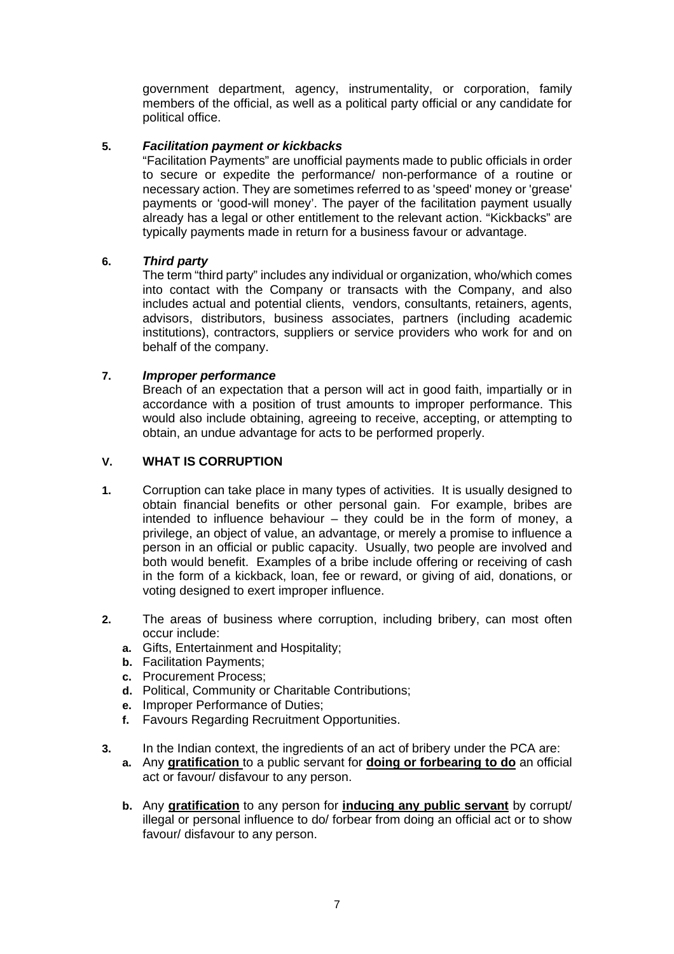government department, agency, instrumentality, or corporation, family members of the official, as well as a political party official or any candidate for political office.

## **5.** *Facilitation payment or kickbacks*

"Facilitation Payments" are unofficial payments made to public officials in order to secure or expedite the performance/ non-performance of a routine or necessary action. They are sometimes referred to as 'speed' money or 'grease' payments or 'good-will money'. The payer of the facilitation payment usually already has a legal or other entitlement to the relevant action. "Kickbacks" are typically payments made in return for a business favour or advantage.

## **6.** *Third party*

The term "third party" includes any individual or organization, who/which comes into contact with the Company or transacts with the Company, and also includes actual and potential clients, vendors, consultants, retainers, agents, advisors, distributors, business associates, partners (including academic institutions), contractors, suppliers or service providers who work for and on behalf of the company.

# **7.** *Improper performance*

Breach of an expectation that a person will act in good faith, impartially or in accordance with a position of trust amounts to improper performance. This would also include obtaining, agreeing to receive, accepting, or attempting to obtain, an undue advantage for acts to be performed properly.

# **V. WHAT IS CORRUPTION**

- **1.** Corruption can take place in many types of activities. It is usually designed to obtain financial benefits or other personal gain. For example, bribes are intended to influence behaviour – they could be in the form of money, a privilege, an object of value, an advantage, or merely a promise to influence a person in an official or public capacity. Usually, two people are involved and both would benefit. Examples of a bribe include offering or receiving of cash in the form of a kickback, loan, fee or reward, or giving of aid, donations, or voting designed to exert improper influence.
- **2.** The areas of business where corruption, including bribery, can most often occur include:
	- **a.** Gifts, Entertainment and Hospitality;
	- **b.** Facilitation Payments;
	- **c.** Procurement Process;
	- **d.** Political, Community or Charitable Contributions;
	- **e.** Improper Performance of Duties;
	- **f.** Favours Regarding Recruitment Opportunities.
- **3.** In the Indian context, the ingredients of an act of bribery under the PCA are:
	- **a.** Any **gratification** to a public servant for **doing or forbearing to do** an official act or favour/ disfavour to any person.
	- **b.** Any **gratification** to any person for **inducing any public servant** by corrupt/ illegal or personal influence to do/ forbear from doing an official act or to show favour/ disfavour to any person.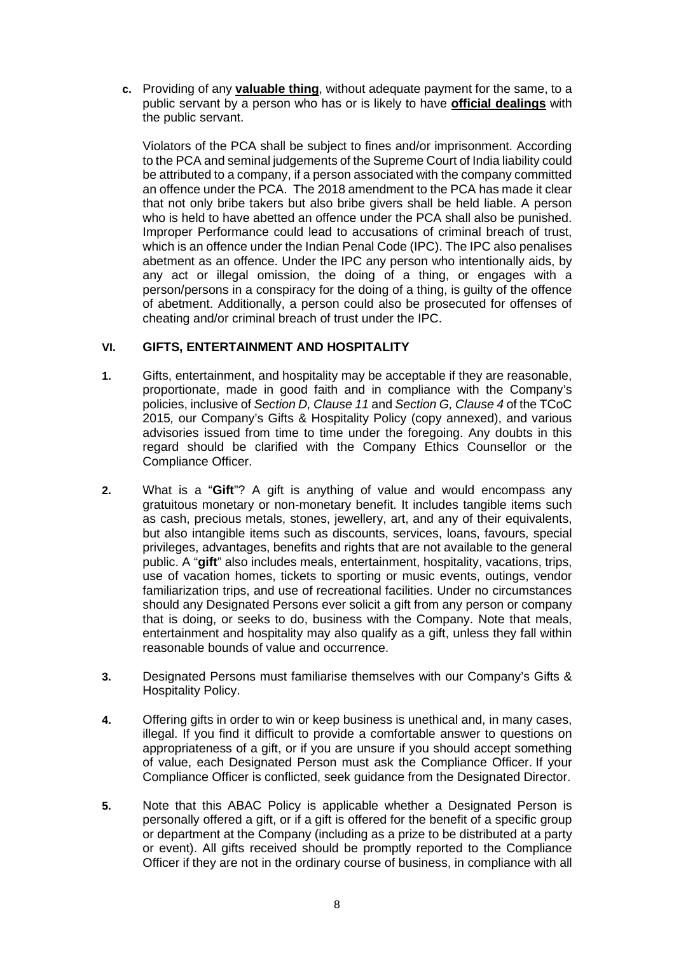**c.** Providing of any **valuable thing**, without adequate payment for the same, to a public servant by a person who has or is likely to have **official dealings** with the public servant.

Violators of the PCA shall be subject to fines and/or imprisonment. According to the PCA and seminal judgements of the Supreme Court of India liability could be attributed to a company, if a person associated with the company committed an offence under the PCA. The 2018 amendment to the PCA has made it clear that not only bribe takers but also bribe givers shall be held liable. A person who is held to have abetted an offence under the PCA shall also be punished. Improper Performance could lead to accusations of criminal breach of trust, which is an offence under the Indian Penal Code (IPC). The IPC also penalises abetment as an offence. Under the IPC any person who intentionally aids, by any act or illegal omission, the doing of a thing, or engages with a person/persons in a conspiracy for the doing of a thing, is guilty of the offence of abetment. Additionally, a person could also be prosecuted for offenses of cheating and/or criminal breach of trust under the IPC.

# **VI. GIFTS, ENTERTAINMENT AND HOSPITALITY**

- **1.** Gifts, entertainment, and hospitality may be acceptable if they are reasonable, proportionate, made in good faith and in compliance with the Company's policies, inclusive of *Section D, Clause 11* and *Section G, Clause 4* of the TCoC 2015*,* our Company's Gifts & Hospitality Policy (copy annexed), and various advisories issued from time to time under the foregoing. Any doubts in this regard should be clarified with the Company Ethics Counsellor or the Compliance Officer.
- **2.** What is a "**Gift**"? A gift is anything of value and would encompass any gratuitous monetary or non-monetary benefit. It includes tangible items such as cash, precious metals, stones, jewellery, art, and any of their equivalents, but also intangible items such as discounts, services, loans, favours, special privileges, advantages, benefits and rights that are not available to the general public. A "**gift**" also includes meals, entertainment, hospitality, vacations, trips, use of vacation homes, tickets to sporting or music events, outings, vendor familiarization trips, and use of recreational facilities. Under no circumstances should any Designated Persons ever solicit a gift from any person or company that is doing, or seeks to do, business with the Company. Note that meals, entertainment and hospitality may also qualify as a gift, unless they fall within reasonable bounds of value and occurrence.
- **3.** Designated Persons must familiarise themselves with our Company's Gifts & Hospitality Policy.
- **4.** Offering gifts in order to win or keep business is unethical and, in many cases, illegal. If you find it difficult to provide a comfortable answer to questions on appropriateness of a gift, or if you are unsure if you should accept something of value, each Designated Person must ask the Compliance Officer. If your Compliance Officer is conflicted, seek guidance from the Designated Director.
- **5.** Note that this ABAC Policy is applicable whether a Designated Person is personally offered a gift, or if a gift is offered for the benefit of a specific group or department at the Company (including as a prize to be distributed at a party or event). All gifts received should be promptly reported to the Compliance Officer if they are not in the ordinary course of business, in compliance with all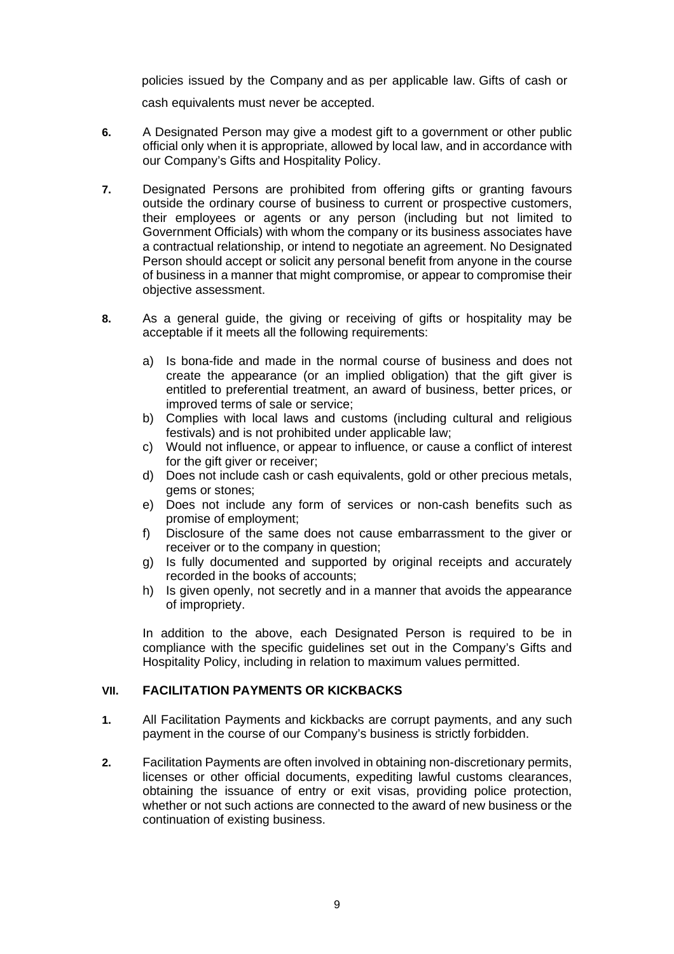policies issued by the Company and as per applicable law. Gifts of cash or cash equivalents must never be accepted.

- **6.** A Designated Person may give a modest gift to a government or other public official only when it is appropriate, allowed by local law, and in accordance with our Company's Gifts and Hospitality Policy.
- **7.** Designated Persons are prohibited from offering gifts or granting favours outside the ordinary course of business to current or prospective customers, their employees or agents or any person (including but not limited to Government Officials) with whom the company or its business associates have a contractual relationship, or intend to negotiate an agreement. No Designated Person should accept or solicit any personal benefit from anyone in the course of business in a manner that might compromise, or appear to compromise their objective assessment.
- **8.** As a general guide, the giving or receiving of gifts or hospitality may be acceptable if it meets all the following requirements:
	- a) Is bona-fide and made in the normal course of business and does not create the appearance (or an implied obligation) that the gift giver is entitled to preferential treatment, an award of business, better prices, or improved terms of sale or service;
	- b) Complies with local laws and customs (including cultural and religious festivals) and is not prohibited under applicable law;
	- c) Would not influence, or appear to influence, or cause a conflict of interest for the gift giver or receiver;
	- d) Does not include cash or cash equivalents, gold or other precious metals, gems or stones;
	- e) Does not include any form of services or non-cash benefits such as promise of employment;
	- f) Disclosure of the same does not cause embarrassment to the giver or receiver or to the company in question;
	- g) Is fully documented and supported by original receipts and accurately recorded in the books of accounts;
	- h) Is given openly, not secretly and in a manner that avoids the appearance of impropriety.

In addition to the above, each Designated Person is required to be in compliance with the specific guidelines set out in the Company's Gifts and Hospitality Policy, including in relation to maximum values permitted.

## **VII. FACILITATION PAYMENTS OR KICKBACKS**

- **1.** All Facilitation Payments and kickbacks are corrupt payments, and any such payment in the course of our Company's business is strictly forbidden.
- **2.** Facilitation Payments are often involved in obtaining non-discretionary permits, licenses or other official documents, expediting lawful customs clearances, obtaining the issuance of entry or exit visas, providing police protection, whether or not such actions are connected to the award of new business or the continuation of existing business.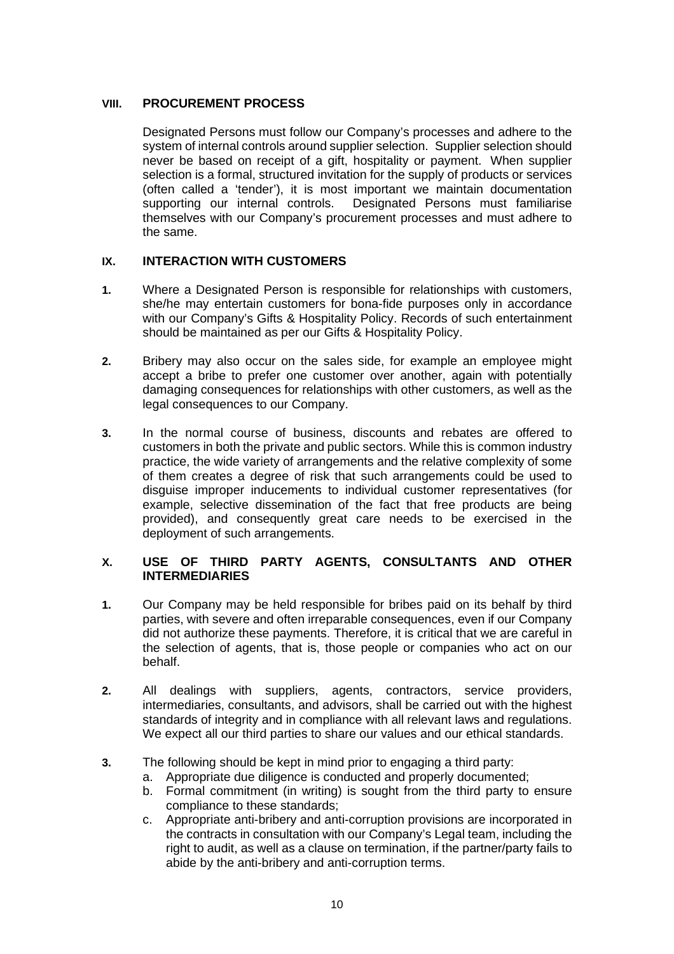# **VIII. PROCUREMENT PROCESS**

Designated Persons must follow our Company's processes and adhere to the system of internal controls around supplier selection. Supplier selection should never be based on receipt of a gift, hospitality or payment. When supplier selection is a formal, structured invitation for the supply of products or services (often called a 'tender'), it is most important we maintain documentation<br>supporting our internal controls. Designated Persons must familiarise Designated Persons must familiarise themselves with our Company's procurement processes and must adhere to the same.

## **IX. INTERACTION WITH CUSTOMERS**

- **1.** Where a Designated Person is responsible for relationships with customers, she/he may entertain customers for bona-fide purposes only in accordance with our Company's Gifts & Hospitality Policy. Records of such entertainment should be maintained as per our Gifts & Hospitality Policy.
- **2.** Bribery may also occur on the sales side, for example an employee might accept a bribe to prefer one customer over another, again with potentially damaging consequences for relationships with other customers, as well as the legal consequences to our Company.
- **3.** In the normal course of business, discounts and rebates are offered to customers in both the private and public sectors. While this is common industry practice, the wide variety of arrangements and the relative complexity of some of them creates a degree of risk that such arrangements could be used to disguise improper inducements to individual customer representatives (for example, selective dissemination of the fact that free products are being provided), and consequently great care needs to be exercised in the deployment of such arrangements.

## **X. USE OF THIRD PARTY AGENTS, CONSULTANTS AND OTHER INTERMEDIARIES**

- **1.** Our Company may be held responsible for bribes paid on its behalf by third parties, with severe and often irreparable consequences, even if our Company did not authorize these payments. Therefore, it is critical that we are careful in the selection of agents, that is, those people or companies who act on our behalf.
- **2.** All dealings with suppliers, agents, contractors, service providers, intermediaries, consultants, and advisors, shall be carried out with the highest standards of integrity and in compliance with all relevant laws and regulations. We expect all our third parties to share our values and our ethical standards.
- **3.** The following should be kept in mind prior to engaging a third party:
	- a. Appropriate due diligence is conducted and properly documented;
		- b. Formal commitment (in writing) is sought from the third party to ensure compliance to these standards;
		- c. Appropriate anti-bribery and anti-corruption provisions are incorporated in the contracts in consultation with our Company's Legal team, including the right to audit, as well as a clause on termination, if the partner/party fails to abide by the anti-bribery and anti-corruption terms.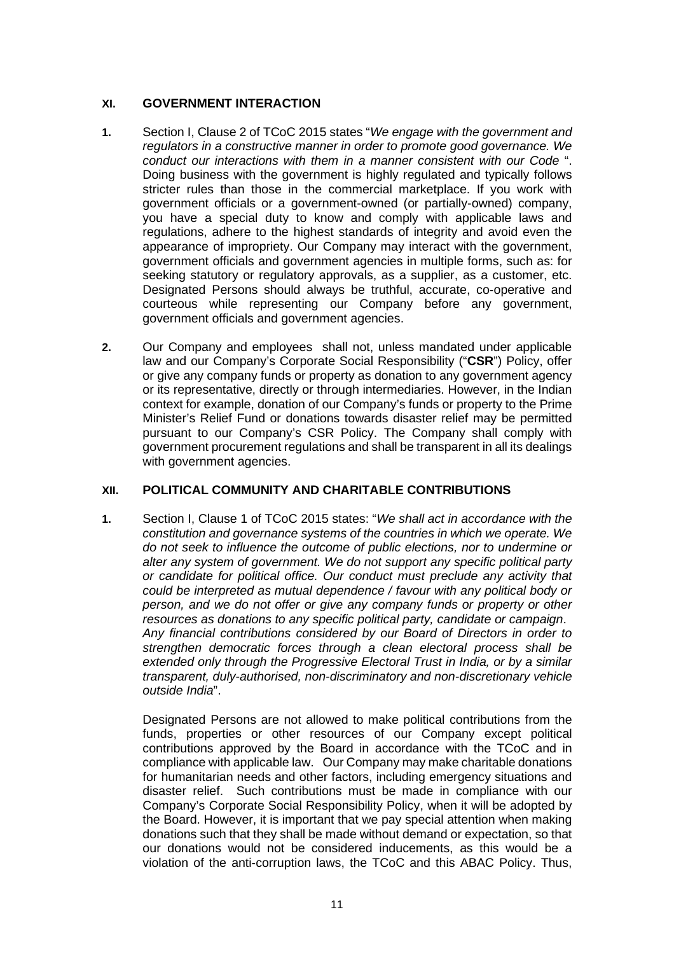# **XI. GOVERNMENT INTERACTION**

- **1.** Section I, Clause 2 of TCoC 2015 states "*We engage with the government and regulators in a constructive manner in order to promote good governance. We conduct our interactions with them in a manner consistent with our Code* ". Doing business with the government is highly regulated and typically follows stricter rules than those in the commercial marketplace. If you work with government officials or a government-owned (or partially-owned) company, you have a special duty to know and comply with applicable laws and regulations, adhere to the highest standards of integrity and avoid even the appearance of impropriety. Our Company may interact with the government, government officials and government agencies in multiple forms, such as: for seeking statutory or regulatory approvals, as a supplier, as a customer, etc. Designated Persons should always be truthful, accurate, co-operative and courteous while representing our Company before any government, government officials and government agencies.
- **2.** Our Company and employees shall not, unless mandated under applicable law and our Company's Corporate Social Responsibility ("**CSR**") Policy, offer or give any company funds or property as donation to any government agency or its representative, directly or through intermediaries. However, in the Indian context for example, donation of our Company's funds or property to the Prime Minister's Relief Fund or donations towards disaster relief may be permitted pursuant to our Company's CSR Policy. The Company shall comply with government procurement regulations and shall be transparent in all its dealings with government agencies.

## **XII. POLITICAL COMMUNITY AND CHARITABLE CONTRIBUTIONS**

**1.** Section I, Clause 1 of TCoC 2015 states: "*We shall act in accordance with the constitution and governance systems of the countries in which we operate. We do not seek to influence the outcome of public elections, nor to undermine or alter any system of government. We do not support any specific political party or candidate for political office. Our conduct must preclude any activity that could be interpreted as mutual dependence / favour with any political body or person, and we do not offer or give any company funds or property or other resources as donations to any specific political party, candidate or campaign*. *Any financial contributions considered by our Board of Directors in order to strengthen democratic forces through a clean electoral process shall be extended only through the Progressive Electoral Trust in India, or by a similar transparent, duly-authorised, non-discriminatory and non-discretionary vehicle outside India*".

Designated Persons are not allowed to make political contributions from the funds, properties or other resources of our Company except political contributions approved by the Board in accordance with the TCoC and in compliance with applicable law. Our Company may make charitable donations for humanitarian needs and other factors, including emergency situations and disaster relief. Such contributions must be made in compliance with our Company's Corporate Social Responsibility Policy, when it will be adopted by the Board. However, it is important that we pay special attention when making donations such that they shall be made without demand or expectation, so that our donations would not be considered inducements, as this would be a violation of the anti-corruption laws, the TCoC and this ABAC Policy. Thus,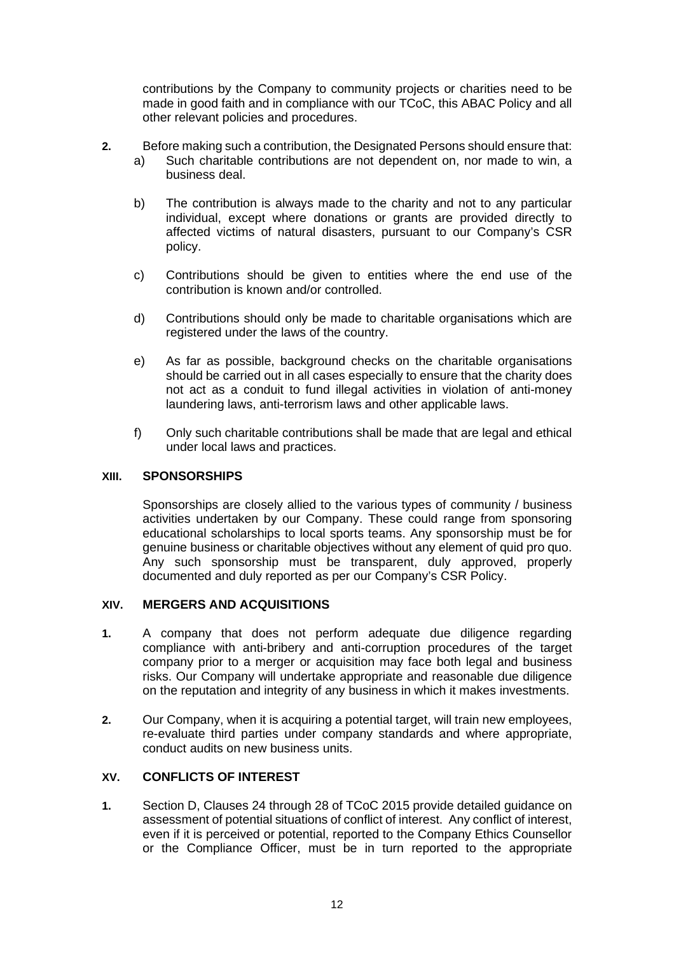contributions by the Company to community projects or charities need to be made in good faith and in compliance with our TCoC, this ABAC Policy and all other relevant policies and procedures.

- **2.** Before making such a contribution, the Designated Persons should ensure that:
	- a) Such charitable contributions are not dependent on, nor made to win, a business deal.
	- b) The contribution is always made to the charity and not to any particular individual, except where donations or grants are provided directly to affected victims of natural disasters, pursuant to our Company's CSR policy.
	- c) Contributions should be given to entities where the end use of the contribution is known and/or controlled.
	- d) Contributions should only be made to charitable organisations which are registered under the laws of the country.
	- e) As far as possible, background checks on the charitable organisations should be carried out in all cases especially to ensure that the charity does not act as a conduit to fund illegal activities in violation of anti-money laundering laws, anti-terrorism laws and other applicable laws.
	- f) Only such charitable contributions shall be made that are legal and ethical under local laws and practices.

#### **XIII. SPONSORSHIPS**

Sponsorships are closely allied to the various types of community / business activities undertaken by our Company. These could range from sponsoring educational scholarships to local sports teams. Any sponsorship must be for genuine business or charitable objectives without any element of quid pro quo. Any such sponsorship must be transparent, duly approved, properly documented and duly reported as per our Company's CSR Policy.

#### **XIV. MERGERS AND ACQUISITIONS**

- **1.** A company that does not perform adequate due diligence regarding compliance with anti-bribery and anti-corruption procedures of the target company prior to a merger or acquisition may face both legal and business risks. Our Company will undertake appropriate and reasonable due diligence on the reputation and integrity of any business in which it makes investments.
- **2.** Our Company, when it is acquiring a potential target, will train new employees, re-evaluate third parties under company standards and where appropriate, conduct audits on new business units.

## **XV. CONFLICTS OF INTEREST**

**1.** Section D, Clauses 24 through 28 of TCoC 2015 provide detailed guidance on assessment of potential situations of conflict of interest. Any conflict of interest, even if it is perceived or potential, reported to the Company Ethics Counsellor or the Compliance Officer, must be in turn reported to the appropriate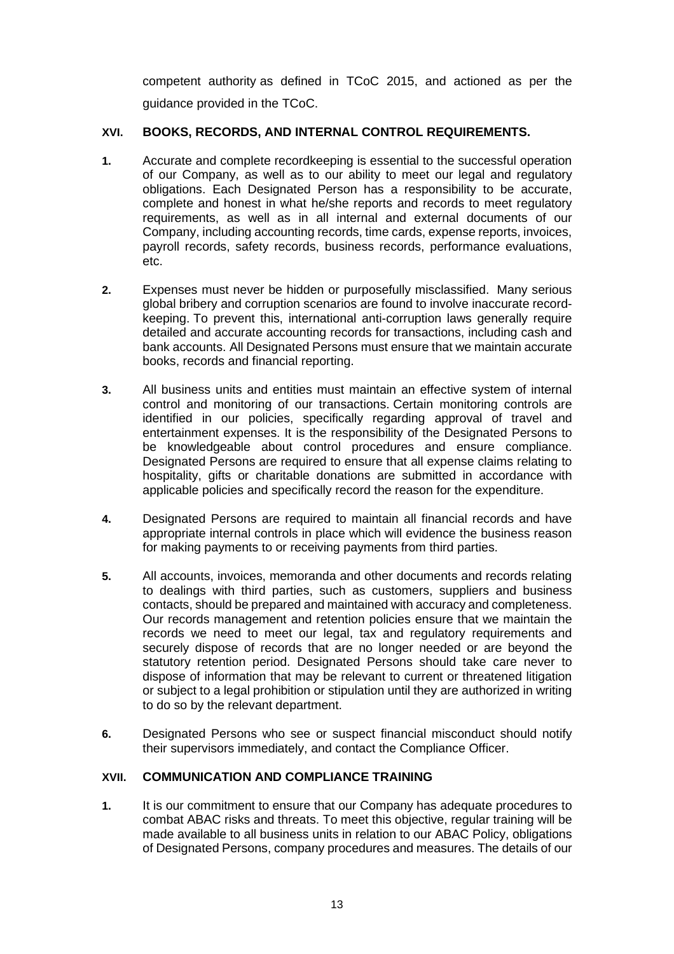competent authority as defined in TCoC 2015, and actioned as per the guidance provided in the TCoC.

# **XVI. BOOKS, RECORDS, AND INTERNAL CONTROL REQUIREMENTS.**

- **1.** Accurate and complete recordkeeping is essential to the successful operation of our Company, as well as to our ability to meet our legal and regulatory obligations. Each Designated Person has a responsibility to be accurate, complete and honest in what he/she reports and records to meet regulatory requirements, as well as in all internal and external documents of our Company, including accounting records, time cards, expense reports, invoices, payroll records, safety records, business records, performance evaluations, etc.
- **2.** Expenses must never be hidden or purposefully misclassified. Many serious global bribery and corruption scenarios are found to involve inaccurate recordkeeping. To prevent this, international anti-corruption laws generally require detailed and accurate accounting records for transactions, including cash and bank accounts. All Designated Persons must ensure that we maintain accurate books, records and financial reporting.
- **3.** All business units and entities must maintain an effective system of internal control and monitoring of our transactions. Certain monitoring controls are identified in our policies, specifically regarding approval of travel and entertainment expenses. It is the responsibility of the Designated Persons to be knowledgeable about control procedures and ensure compliance. Designated Persons are required to ensure that all expense claims relating to hospitality, gifts or charitable donations are submitted in accordance with applicable policies and specifically record the reason for the expenditure.
- **4.** Designated Persons are required to maintain all financial records and have appropriate internal controls in place which will evidence the business reason for making payments to or receiving payments from third parties.
- **5.** All accounts, invoices, memoranda and other documents and records relating to dealings with third parties, such as customers, suppliers and business contacts, should be prepared and maintained with accuracy and completeness. Our records management and retention policies ensure that we maintain the records we need to meet our legal, tax and regulatory requirements and securely dispose of records that are no longer needed or are beyond the statutory retention period. Designated Persons should take care never to dispose of information that may be relevant to current or threatened litigation or subject to a legal prohibition or stipulation until they are authorized in writing to do so by the relevant department.
- **6.** Designated Persons who see or suspect financial misconduct should notify their supervisors immediately, and contact the Compliance Officer.

# **XVII. COMMUNICATION AND COMPLIANCE TRAINING**

**1.** It is our commitment to ensure that our Company has adequate procedures to combat ABAC risks and threats. To meet this objective, regular training will be made available to all business units in relation to our ABAC Policy, obligations of Designated Persons, company procedures and measures. The details of our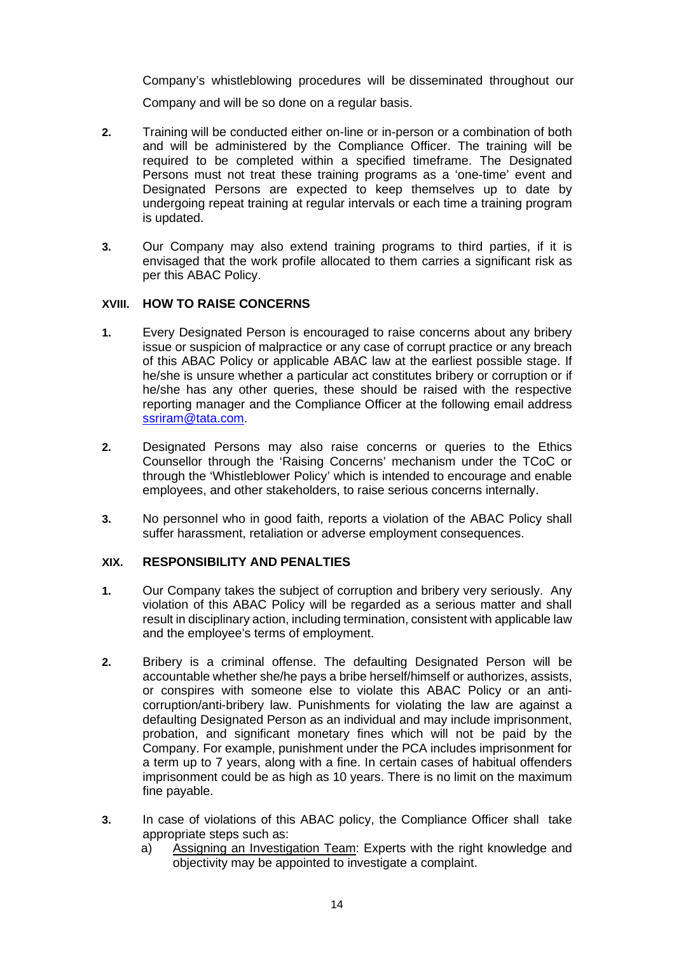Company's whistleblowing procedures will be disseminated throughout our Company and will be so done on a regular basis.

- **2.** Training will be conducted either on-line or in-person or a combination of both and will be administered by the Compliance Officer. The training will be required to be completed within a specified timeframe. The Designated Persons must not treat these training programs as a 'one-time' event and Designated Persons are expected to keep themselves up to date by undergoing repeat training at regular intervals or each time a training program is updated.
- **3.** Our Company may also extend training programs to third parties, if it is envisaged that the work profile allocated to them carries a significant risk as per this ABAC Policy.

## **XVIII. HOW TO RAISE CONCERNS**

- **1.** Every Designated Person is encouraged to raise concerns about any bribery issue or suspicion of malpractice or any case of corrupt practice or any breach of this ABAC Policy or applicable ABAC law at the earliest possible stage. If he/she is unsure whether a particular act constitutes bribery or corruption or if he/she has any other queries, these should be raised with the respective reporting manager and the Compliance Officer at the following email address [ssriram@tata.com.](mailto:ssriram@tata.com)
- **2.** Designated Persons may also raise concerns or queries to the Ethics Counsellor through the 'Raising Concerns' mechanism under the TCoC or through the 'Whistleblower Policy' which is intended to encourage and enable employees, and other stakeholders, to raise serious concerns internally.
- **3.** No personnel who in good faith, reports a violation of the ABAC Policy shall suffer harassment, retaliation or adverse employment consequences.

## **XIX. RESPONSIBILITY AND PENALTIES**

- **1.** Our Company takes the subject of corruption and bribery very seriously. Any violation of this ABAC Policy will be regarded as a serious matter and shall result in disciplinary action, including termination, consistent with applicable law and the employee's terms of employment.
- **2.** Bribery is a criminal offense. The defaulting Designated Person will be accountable whether she/he pays a bribe herself/himself or authorizes, assists, or conspires with someone else to violate this ABAC Policy or an anticorruption/anti-bribery law. Punishments for violating the law are against a defaulting Designated Person as an individual and may include imprisonment, probation, and significant monetary fines which will not be paid by the Company. For example, punishment under the PCA includes imprisonment for a term up to 7 years, along with a fine. In certain cases of habitual offenders imprisonment could be as high as 10 years. There is no limit on the maximum fine payable.
- **3.** In case of violations of this ABAC policy, the Compliance Officer shall take appropriate steps such as:
	- a) Assigning an Investigation Team: Experts with the right knowledge and objectivity may be appointed to investigate a complaint.